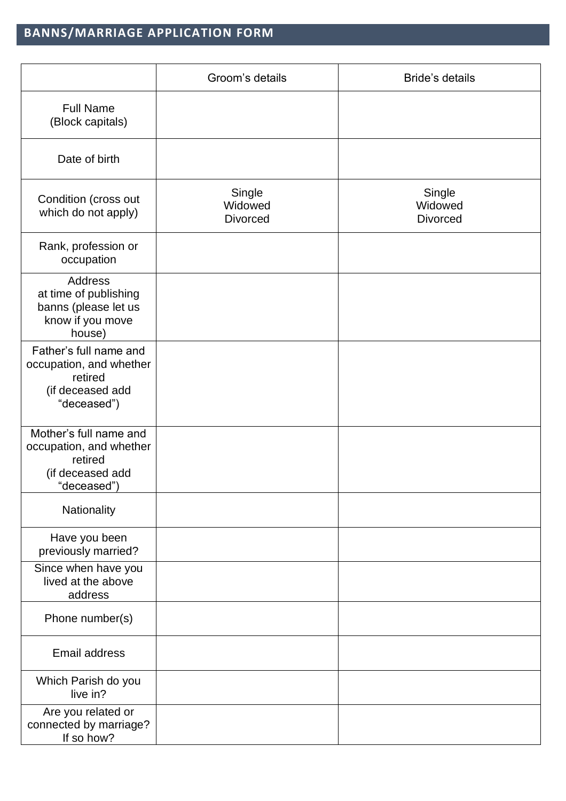## **BANNS/MARRIAGE APPLICATION FORM**

|                                                                                                 | Groom's details                      | <b>Bride's details</b>               |
|-------------------------------------------------------------------------------------------------|--------------------------------------|--------------------------------------|
| <b>Full Name</b><br>(Block capitals)                                                            |                                      |                                      |
| Date of birth                                                                                   |                                      |                                      |
| Condition (cross out<br>which do not apply)                                                     | Single<br>Widowed<br><b>Divorced</b> | Single<br>Widowed<br><b>Divorced</b> |
| Rank, profession or<br>occupation                                                               |                                      |                                      |
| <b>Address</b><br>at time of publishing<br>banns (please let us<br>know if you move<br>house)   |                                      |                                      |
| Father's full name and<br>occupation, and whether<br>retired<br>(if deceased add<br>"deceased") |                                      |                                      |
| Mother's full name and<br>occupation, and whether<br>retired<br>(if deceased add<br>"deceased") |                                      |                                      |
| Nationality                                                                                     |                                      |                                      |
| Have you been<br>previously married?                                                            |                                      |                                      |
| Since when have you<br>lived at the above<br>address                                            |                                      |                                      |
| Phone number(s)                                                                                 |                                      |                                      |
| Email address                                                                                   |                                      |                                      |
| Which Parish do you<br>live in?                                                                 |                                      |                                      |
| Are you related or<br>connected by marriage?<br>If so how?                                      |                                      |                                      |